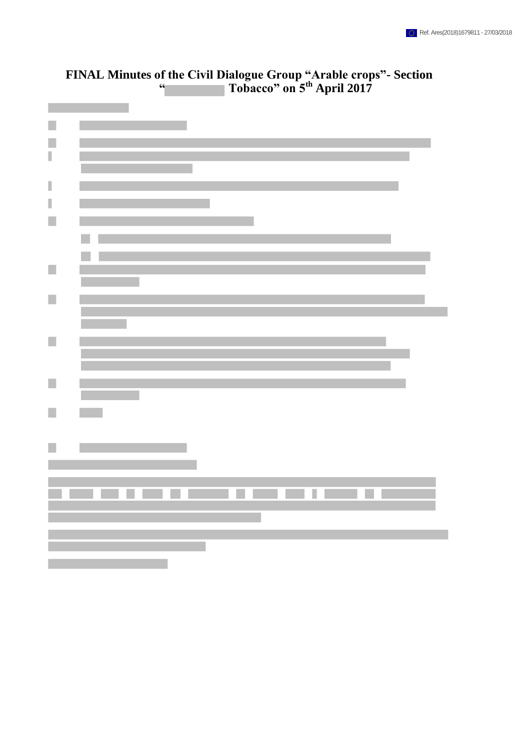| <u> Tanzania (h. 1888).</u><br>Digwyddiadau |
|---------------------------------------------|

**FINAL Minutes of the Civil Dialogue Group "Arable crops"- Section " Tobacco" on 5th April 2017**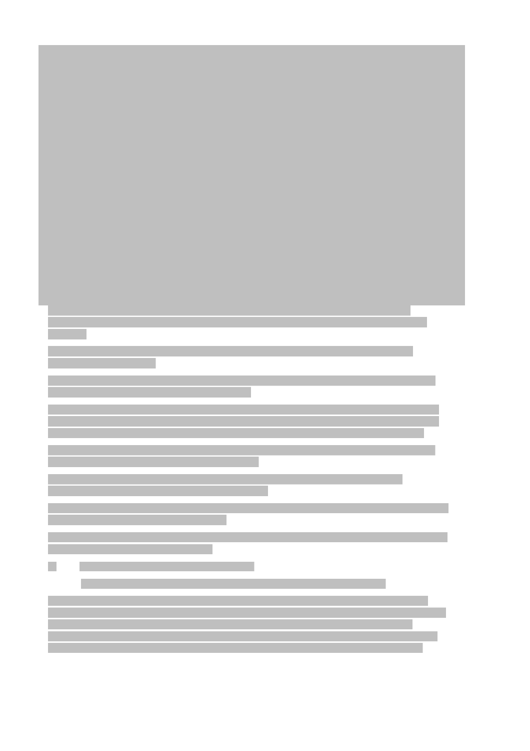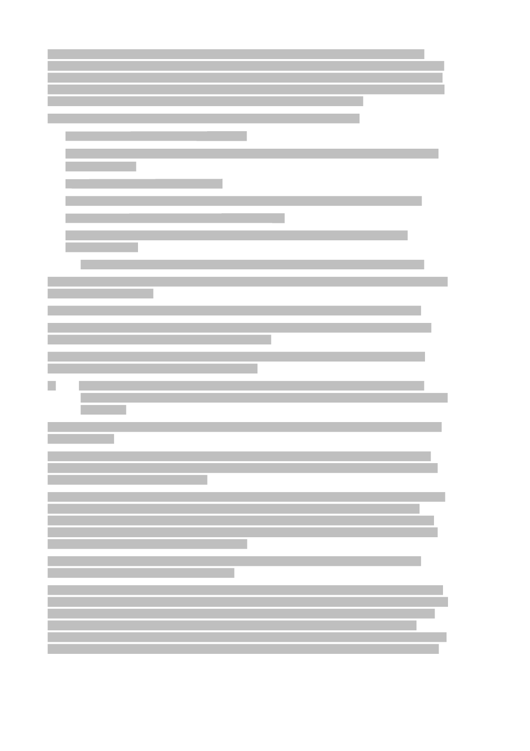| <b>Contract Contract</b> |  |
|--------------------------|--|
|                          |  |
|                          |  |
|                          |  |
|                          |  |
|                          |  |
|                          |  |
|                          |  |
|                          |  |
|                          |  |
|                          |  |
|                          |  |
|                          |  |
|                          |  |
|                          |  |
|                          |  |
|                          |  |
|                          |  |
|                          |  |
|                          |  |
|                          |  |
|                          |  |
|                          |  |
|                          |  |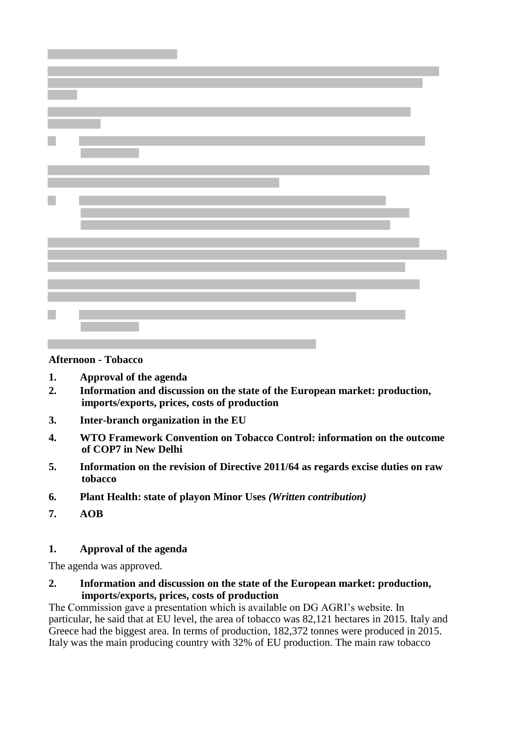#### **Afternoon - Tobacco**

- **1. Approval of the agenda**
- **2. Information and discussion on the state of the European market: production, imports/exports, prices, costs of production**
- **3. Inter-branch organization in the EU**
- **4. WTO Framework Convention on Tobacco Control: information on the outcome of COP7 in New Delhi**
- **5. Information on the revision of Directive 2011/64 as regards excise duties on raw tobacco**
- **6. Plant Health: state of playon Minor Uses** *(Written contribution)*
- **7. AOB**

#### **1. Approval of the agenda**

The agenda was approved.

**2. Information and discussion on the state of the European market: production, imports/exports, prices, costs of production** 

The Commission gave a presentation which is available on DG AGRI's website. In particular, he said that at EU level, the area of tobacco was 82,121 hectares in 2015. Italy and Greece had the biggest area. In terms of production, 182,372 tonnes were produced in 2015. Italy was the main producing country with 32% of EU production. The main raw tobacco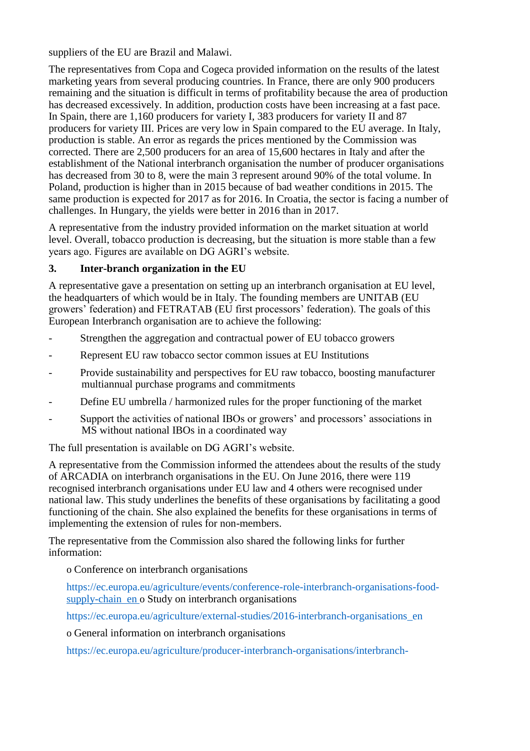suppliers of the EU are Brazil and Malawi.

The representatives from Copa and Cogeca provided information on the results of the latest marketing years from several producing countries. In France, there are only 900 producers remaining and the situation is difficult in terms of profitability because the area of production has decreased excessively. In addition, production costs have been increasing at a fast pace. In Spain, there are 1,160 producers for variety I, 383 producers for variety II and 87 producers for variety III. Prices are very low in Spain compared to the EU average. In Italy, production is stable. An error as regards the prices mentioned by the Commission was corrected. There are 2,500 producers for an area of 15,600 hectares in Italy and after the establishment of the National interbranch organisation the number of producer organisations has decreased from 30 to 8, were the main 3 represent around 90% of the total volume. In Poland, production is higher than in 2015 because of bad weather conditions in 2015. The same production is expected for 2017 as for 2016. In Croatia, the sector is facing a number of challenges. In Hungary, the yields were better in 2016 than in 2017.

A representative from the industry provided information on the market situation at world level. Overall, tobacco production is decreasing, but the situation is more stable than a few years ago. Figures are available on DG AGRI's website.

## **3. Inter-branch organization in the EU**

A representative gave a presentation on setting up an interbranch organisation at EU level, the headquarters of which would be in Italy. The founding members are UNITAB (EU growers' federation) and FETRATAB (EU first processors' federation). The goals of this European Interbranch organisation are to achieve the following:

- Strengthen the aggregation and contractual power of EU tobacco growers
- Represent EU raw tobacco sector common issues at EU Institutions
- Provide sustainability and perspectives for EU raw tobacco, boosting manufacturer multiannual purchase programs and commitments
- Define EU umbrella / harmonized rules for the proper functioning of the market
- Support the activities of national IBOs or growers' and processors' associations in MS without national IBOs in a coordinated way

The full presentation is available on DG AGRI's website.

A representative from the Commission informed the attendees about the results of the study of ARCADIA on interbranch organisations in the EU. On June 2016, there were 119 recognised interbranch organisations under EU law and 4 others were recognised under national law. This study underlines the benefits of these organisations by facilitating a good functioning of the chain. She also explained the benefits for these organisations in terms of implementing the extension of rules for non-members.

The representative from the Commission also shared the following links for further information:

o Conference on interbranch organisations

https://ec.europa.eu/agriculture/events/conference-role-interbranch-organisations-foodsupply-chain en o Study on interbranch organisations

https://ec.europa.eu/agriculture/external-studies/2016-interbranch-organisations\_en

o General information on interbranch organisations

https://ec.europa.eu/agriculture/producer-interbranch-organisations/interbranch-